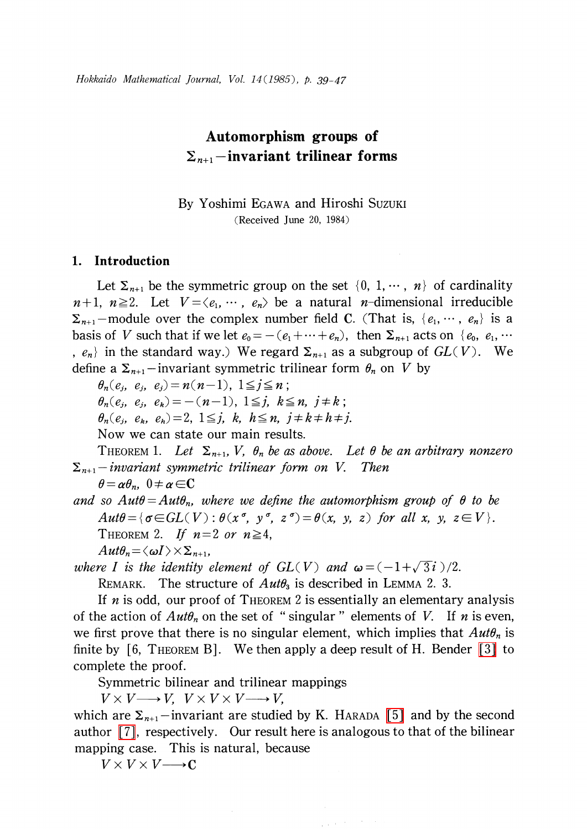# Automorphism groups of  $\Sigma_{n+1}$  -invariant trilinear forms

By Yoshimi EGAWA and Hiroshi SUZUKI (Received June 20, 1984)

#### 1. Introduction

Let  $\Sigma_{n+1}$  be the symmetric group on the set  $\{0, 1, \dots, n\}$  of cardinality  $n+1$ ,  $n \geq 2$ . Let  $V = \langle e_{1}, \cdots, e_{n}\rangle$  be a natural n-dimensional irreducible  $\Sigma_{n+1}$ -module over the complex number field C. (That is,  $\{e_{1},\dots, e_{n}\}$  is a basis of V such that if we let  $e_{0}=-(e_{1}+\cdots+e_{n})$ , then  $\Sigma_{n+1}$  acts on  $\{e_{0}, e_{1}, \cdots$ ,  $e_{n}\rangle$  in the standard way.) We regard  $\Sigma_{n+1}$  as a subgroup of  $GL(V)$ . We define a  $\Sigma_{n+1}$ -invariant symmetric trilinear form  $\theta_{n}$  on V by

 $\theta_{n}(e_{i}, e_{j}, e_{j})=n(n-1)$ ,  $1\leq j\leq n$ ;

 $\theta_{n}(e_{i}, e_{i}, e_{k}) = -(n-1)$ ,  $1\leq j, k\leq n, j\neq k$ ;

 $\theta_{n}(e_{j}, e_{k}, e_{h})=2, 1\leq j, k, h\leq n, j\neq k\neq h\neq j.$ 

<span id="page-0-1"></span>Now we can state our main results.

THEOREM 1. Let  $\Sigma_{n+1}$ , V,  $\theta_{n}$  be as above. Let  $\theta$  be an arbitrary nonzero  $\Sigma_{n+1}$ -invariant symmetric trilinear form on V. Then

 $\theta=\alpha\theta_{n},\;0\neq\alpha\in C$ 

and so  $Aut\theta = Aut\theta_{n}$ , where we define the automorphism group of  $\theta$  to be  $Aut\theta = {\sigma\in GL(V) : \theta(x^{\sigma}, y^{\sigma}, z^{\sigma}) = \theta(x, y, z) \text{ for all } x, y, z\in V}.$ THEOREM 2. If  $n=2$  or  $n\geq 4$ ,  $Aut\theta_{n}=\langle\omega I\rangle\!\times\!\Sigma_{n+1}$ 

<span id="page-0-0"></span>where I is the identity element of  $GL(V)$  and  $\omega=(-1+\sqrt{3}i)/2$ .

REMARK. The structure of  $Aut\theta_{3}$  is described in LEMMA 2. 3.

If  $n$  is odd, our proof of THEOREM 2 is essentially an elementary analysis of the action of  $Aut\theta_{n}$  on the set of "singular" elements of V. If n is even, we first prove that there is no singular element, which implies that  $Aut\theta_{n}$  is finite by  $[6,$  THEOREM B. We then apply a deep result of H. Bender  $[3]$  to complete the proof.

Symmetric bilinear and trilinear mappings

Symmetric bilinear and trilinear<br> $V \times V \longrightarrow V, \quad V \times V \times V \longrightarrow V,$ 

which are  $\Sigma_{n+1}$ -invariant are studied by K. HARADA [\[5\]](#page-8-1) and by the second author [\[7\],](#page-8-2) respectively. Our result here is analogous to that of the bilinear mapping case. This is natural, because

 $V\times V\times V\longrightarrow C$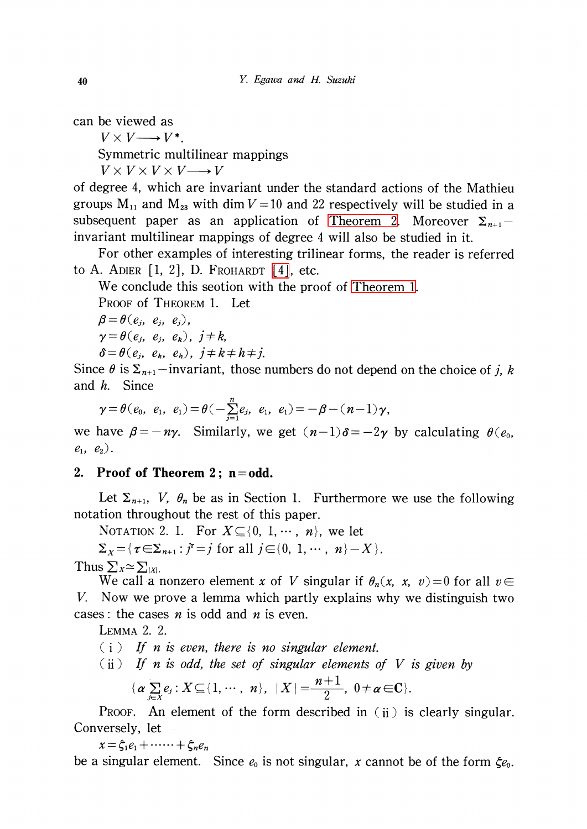can be viewed as

 $V \times V \longrightarrow V^{*}$ .

Symmetric multilinear mappings

 $V\times V\times V\times V\longrightarrow V$ 

of degree 4, which are invariant under the standard actions of the Mathieu groups  $M_{11}$  and  $M_{23}$  with dim  $V=10$  and 22 respectively will be studied in a subsequent paper as an application of [Theorem](#page-0-0) 2. Moreover  $\Sigma_{n+1}$ invariant multilinear mappings of degree 4 will also be studied in it.

For other examples of interesting trilinear forms, the reader is referred to A. ADIER  $[1, 2]$ , D. FROHARDT  $[4]$ , etc.

We conclude this seotion with the proof of [Theorem](#page-0-1) 1.

PROOF of THEOREM 1. Let

 $\beta=\theta(e_{j}, e_{j}, e_{j}),$ 

 $\gamma=\theta(e_{j}, e_{j}, e_{k}), \, j\neq k,$ 

 $\delta=\theta(e_{j}, e_{k}, e_{h}), \, j\neq k\neq h\neq j.$ 

Since  $\theta$  is  $\Sigma_{n+1}$ -invariant, those numbers do not depend on the choice of j, k and h. Since

$$
\gamma = \theta(e_0, e_1, e_1) = \theta(-\sum_{j=1}^n e_j, e_1, e_1) = -\beta - (n-1)\gamma,
$$

we have  $\beta=-n\gamma$ . Similarly, we get  $(n-1)\delta=-2\gamma$  by calculating  $\theta(e_{0},$  $e_{1}$ ,  $e_{2}$ ).

## 2. Proof of Theorem 2;  $n = odd$ .

Let  $\Sigma_{n+1}$ , V,  $\theta_{n}$  be as in Section 1. Furthermore we use the following notation throughout the rest of this paper.

NOTATION 2. 1. For  $X \subseteq \{0, 1, \cdots, n\}$ , we let

 $\Sigma_{X} = {\tau \in \Sigma_{n+1} : j^{\tau}=j \text{ for all } j \in\{0, 1, \cdots, n\}-X }$ .

Thus  $\sum_{X} \simeq \sum_{|X|}$ .

We call a nonzero element x of V singular if  $\theta_{n}(x, x, v)=0$  for all  $v\in$ V. Now we prove a lemma which partly explains why we distinguish two cases: the cases *n* is odd and *n* is even.

lemma 2. 2.

 $(i)$  If n is even, there is no singular element.

 $(i)$  If n is odd, the set of singular elements of V is given by

$$
\{\boldsymbol{\alpha} \sum_{j \in X} e_j : X \subseteq \{1, \cdots, n\}, \ |X| = \frac{n+1}{2}, \ 0 \neq \boldsymbol{\alpha} \in \mathbb{C}\}.
$$

PROOF. An element of the form described in (ii) is clearly singular. Conversely, let

 $x=\xi_{1}e_{1}+\cdots+\xi_{n}e_{n}$ 

be a singular element. Since  $e_{0}$  is not singular, x cannot be of the form  $\xi e_{0}$ .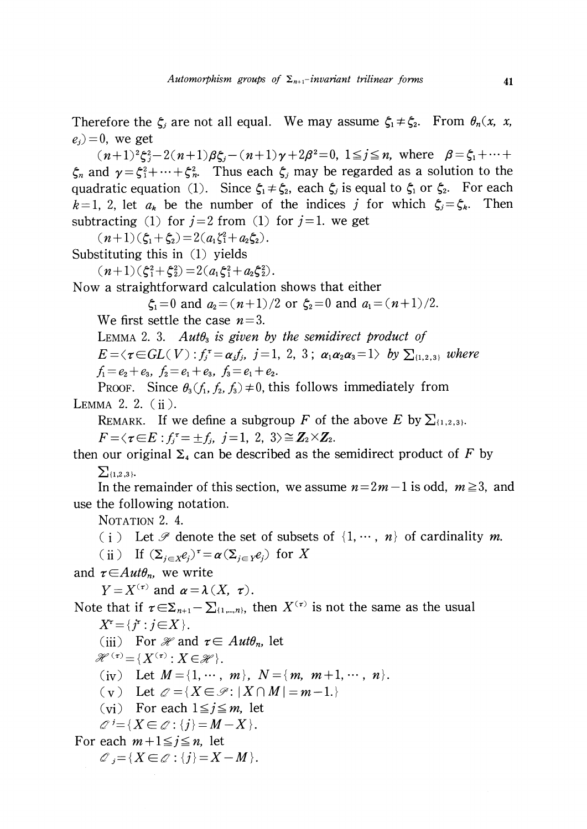Therefore the  $\zeta_{j}$  are not all equal. We may assume  $\zeta_{1}\neq\zeta_{2}$ . From  $\theta_{n}(x, x,$  $e_{i}$ ) = 0, we get

 $(n+1)^{2}\xi_{j}^{2}-2(n+1)\beta\xi_{j}-(n+1)\gamma+2\beta^{2}=0, 1\leq j\leq n$ , where  $\beta=\xi_{1}+\cdots+\xi_{n}$  $\zeta_{n}$  and  $\gamma=\zeta_{1}^{2}+\cdots+\zeta_{n}^{2}$ . Thus each  $\zeta_{j}$  may be regarded as a solution to the quadratic equation (1). Since  $\zeta_{1}\neq\zeta_{2}$ , each  $\zeta_{j}$  is equal to  $\zeta_{1}$  or  $\zeta_{2}$ . For each  $k=1, 2$ , let  $a_{k}$  be the number of the indices j for which  $\zeta_{j}=\zeta_{k}$ . Then subtracting (1) for  $j=2$  from (1) for  $j=1$ . we get

 $(n+1)(\zeta_{1}+\zeta_{2})=2(a_{1}\zeta_{1}+a_{2}\zeta_{2}).$ 

Substituting this in (1) yields

 $(n+1)(\zeta_{1}^{2}+\zeta_{2}^{2})=2(a_{1}\zeta_{1}^{2}+a_{2}\zeta_{2}^{2}).$ 

Now a straightforward calculation shows that either

 $\zeta_{1}=0$  and  $a_{2}=(n+1)/2$  or  $\zeta_{2}=0$  and  $a_{1}=(n+1)/2$ .

We first settle the case  $n=3$ .

<span id="page-2-0"></span>LEMMA 2. 3. Aut $\theta_{3}$  is given by the semidirect product of

 $E=\langle\tau\in GL(V) : f_{j}^{\tau}=\alpha_{j}f_{j}, j=1,2,3\ ; \alpha_{1}\alpha_{2}\alpha_{3}=1\rangle$  by  $\sum_{\{1,2,3\}}$  where  $f_{1}=e_{2}+e_{3}$ ,  $f_{2}=e_{1}+e_{3}$ ,  $f_{3}=e_{1}+e_{2}$ .

Proof. Since  $\theta_{3}(f_{1}, f_{2}, f_{3}) \neq 0$ , this follows immediately from LEMMA 2. 2. (ii).

REMARK. If we define a subgroup F of the above E by  $\sum_{\{1,2,3\}}$ .  $F=\langle\tau\in E:f_{j}^{\tau}=\pm f_{j}, j=1,2,3\rangle\cong\mathbf{Z}_{2}\times\mathbf{Z}_{2} .$ 

then our original  $\Sigma_{4}$  can be described as the semidirect product of F by  $\sum_{\{1,2,3\}}$ 

In the remainder of this section, we assume  $n=2m-1$  is odd,  $m\geq 3$ , and use the following notation.

NOTATION 2. 4.

(i) Let  $\mathcal P$  denote the set of subsets of  $\{1, \cdots, n\}$  of cardinality m.

(ii) If  $(\Sigma_{j\in \mathcal{X}}e_{j})^{\tau}=\alpha(\Sigma_{j\in \mathcal{Y}}e_{j})$  for X

and  $\tau{\in}Aut\theta_{n}$ , we write

 $Y = X^{(\tau)}$  and  $\alpha = \lambda(X, \tau)$ .

Note that if  $\tau\in\Sigma_{n+1}-\Sigma_{\{1,\ldots,n\}}$ , then  $X^{(\tau)}$  is not the same as the usual  $X^{\tau} = \{j^{\tau} : j \in X\}.$ 

(iii) For  $\mathcal{H}$  and  $\tau\in \text{Aut}\theta_{n}$ , let

 $\mathscr{H}^{(\tau)}\!=\!\{X^{(\tau)} : X\!\in \!\mathscr{H}\}.$ 

(iv) Let  $M = \{1, \cdots, m\}$ ,  $N = \{m, m+1, \cdots, n\}$ .

(v) Let  $\mathcal{Q}=\{X\in \mathcal{P}:|X\cap M|=m-1.\}$ 

(vi) For each  $1\leq j\leq m$ , let

 $\mathscr{Q}^{j}=\{X\in \mathscr{Q}:\{j\}=M-X\}$ .

For each  $m+1\leq j\leq n$ , let

 $\mathcal{O}_{j}=\{X\in \mathcal{O} : \{j\}=X-M\}$ .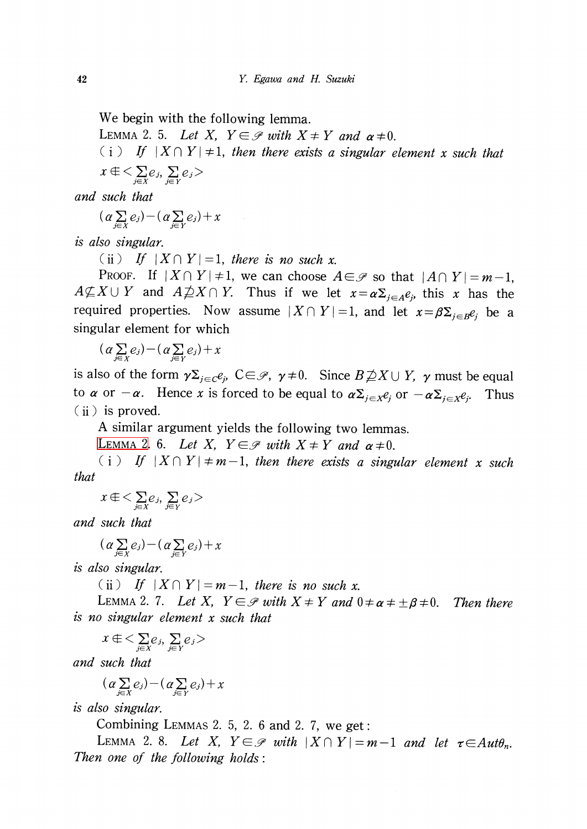We begin with the following lemma.

LEMMA 2. 5. Let X,  $Y \in \mathcal{P}$  with  $X \neq Y$  and  $\alpha \neq 0$ .

(i) If  $|X\cap Y| \neq 1$ , then there exists a singular element x such that  $x \notin \leq \sum_{i\in X}e_{j},\sum_{i\in V}e_{j}$ 

and such that

$$
(\alpha \sum_{j \in X} e_j) - (\alpha \sum_{j \in Y} e_j) + x
$$

is also singular.

(ii) If  $|X \cap Y|=1$ , there is no such x.

PROOF. If  $|X\cap Y|\neq 1$ , we can choose  $A\in \mathcal{S}$  so that  $|A\cap Y|=m-1$ ,  $A\nsubseteq X\cup Y$  and  $A\nsubseteq X\cap Y$ . Thus if we let  $x=\alpha\Sigma_{j\in A}e_{j}$ , this x has the required properties. Now assume  $|X\cap Y|=1$ , and let  $x=\beta\Sigma_{j\in B} e_{j}$  be a singular element for which

 $(\alpha\sum_{j\in Y}e_{j})-(\alpha\sum_{j\in Y}e_{j})+x$ 

is also of the form  $\gamma\Sigma_{j\in C}e_{j}$ ,  $C\in\mathscr{P}$ ,  $\gamma\neq 0$ . Since  $B\!\not\supseteq\!\! X\cup Y$ ,  $\gamma$  must be equal to  $\alpha$  or  $-\alpha$ . Hence x is forced to be equal to  $\alpha\Sigma_{j\in \mathcal{X}} e_j$  or  $-\alpha\Sigma_{j\in \mathcal{X}} e_j$ . . Thus (ii) is proved.

A similar argument yields the following two lemmas.

LEMMA 2. 6. Let X,  $Y \in \mathcal{P}$  with  $X \neq Y$  and  $\alpha \neq 0$ .

(i) If  $|X\cap Y| \neq m-1$ , then there exists a singular element x such that

 $x \notin \langle \sum_{i\in V}e_{j},\sum_{j\in V}e_{j}\rangle$ 

and such that

$$
(\alpha \sum_{j \in X} e_j) - (\alpha \sum_{j \in Y} e_j) + x
$$

is also singular.

(ii) If  $|X \cap Y|=m-1$ , there is no such x.

LEMMA 2. 7. Let X,  $Y\in \mathscr{P}$  with  $X\neq Y$  and  $0\neq\alpha\neq\pm\beta\neq 0$ . . Then there is no singular element x such that

$$
x \in \langle \sum_{j \in X} e_j, \sum_{j \in Y} e_j \rangle
$$

and such that

$$
(\alpha \sum_{j \in X} e_j) - (\alpha \sum_{j \in Y} e_j) + x
$$

is also singular.

Combining LEMMAS 2. 5, 2. <sup>6</sup> and 2. 7, we get:

LEMMA 2.8. Let X,  $Y \in \mathscr{P}$  with  $|X \cap Y|=m-1$  and let  $\tau \in Aut\theta_{n}$ . Then one of the following holds: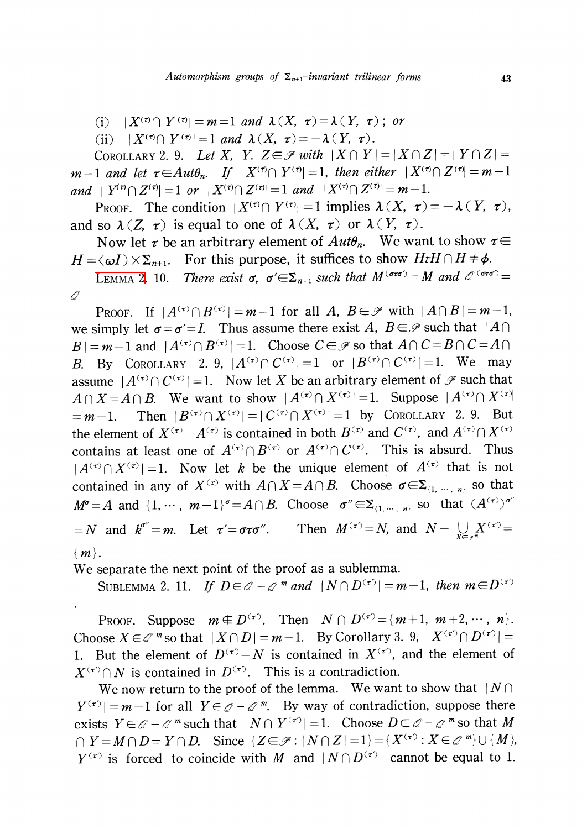(i)  $|X^{(\tau)} \cap Y^{(\tau)}| = m=1$  and  $\lambda(X, \tau)=\lambda(Y, \tau)$ ; or

(ii)  $|X^{(\tau)} \cap Y^{(\tau)}| = 1$  and  $\lambda(X, \tau)=-\lambda(Y, \tau)$ .

COROLLARY 2. 9. Let X, Y.  $Z\in \mathscr{P}$  with  $|X\cap Y|=|X\cap Z|=|Y\cap Z|=$  $m-1$  and let  $\tau\in Aut\theta_{n}$ . If  $|X^{(\tau)}\cap Y^{(\tau)}|=1$ , then either  $|X^{(\tau)}\cap Z^{(\tau)}|=m-1$ and  $|Y^{(\tau)}\cap Z^{(\tau)}|=1$  or  $|X^{(\tau)}\cap Z^{(\tau)}|=1$  and  $|X^{(\tau)}\cap Z^{(\tau)}|=m-1$ .

PROOF. The condition  $|X^{(\tau)} \cap Y^{(\tau)}|=1$  implies  $\lambda(X, \tau)=-\lambda ( Y, \tau )$ , and so  $\lambda(Z, \tau)$  is equal to one of  $\lambda(X, \tau)$  or  $\lambda(Y, \tau)$ .

Now let  $\tau$  be an arbitrary element of  $Aut\theta_n$ . We want to show  $\tau\in$  $H = \langle \omega I \rangle \times \Sigma_{n+1}$ . For this purpose, it suffices to show  $H\tau H\cap H\neq\phi$ .

LEMMA 2. 10. There exist  $\sigma$ ,  $\sigma'\in\Sigma_{n+1}$  such that  $M^{(\sigma\tau\sigma')}=M$  and  $\mathscr{Q}^{(\sigma\tau\sigma')}=$  $\mathscr{Q}$ 

PROOF. If  $|A^{(\tau)} \cap B^{(\tau)}| = m-1$  for all A,  $B \in \mathcal{P}$  with  $|A \cap B| = m-1$ , we simply let  $\sigma=\sigma'=I$ . Thus assume there exist A,  $B\in \mathcal{P}$  such that  $|A\cap$  $B|=m-1$  and  $|A^{(\tau)}\cap B^{(\tau)}|=1$ . Choose  $C\in \mathcal{P}$  so that  $A\cap C=B\cap C=A\cap \mathcal{P}$ B. By COROLLARY 2. 9,  $|A^{(\tau)}\cap C^{(\tau)}|=1$  or  $|B^{(\tau)}\cap C^{(\tau)}|=1$ . We may assume  $|A^{(\tau)}\cap C^{(\tau)}|=1$ . Now let X be an arbitrary element of  $\mathscr{P}$  such that  $A\cap X=A\cap B$ . We want to show  $|A^{(\tau)}\cap X^{(\tau)}|=1$ . Suppose  $|A^{(\tau)}\cap X^{(\tau)}|$  $=m-1.$  Then  $|B^{(\tau)}\cap X^{(\tau)}|=|C^{(\tau)}\cap X^{(\tau)}|=1$  by COROLLARY 2. 9. But the element of  $X^{(\tau)}-A^{(\tau)}$  is contained in both  $B^{(\tau)}$  and  $C^{(\tau)}$ , and  $A^{(\tau)}\cap X^{(\tau)}$ contains at least one of  $A^{(\tau)}\cap B^{(\tau)}$  or  $A^{(\tau)}\cap C^{(\tau)}$ . This is absurd. Thus  $|A^{(\tau)} \cap X^{(\tau)}|=1$ . Now let k be the unique element of  $A^{(\tau)}$  that is not contained in any of  $X^{(\tau)}$  with  $A\cap X=A\cap B$ . Choose  $\sigma\in\Sigma_{\{1,\dots,m\}}$  so that  $M^{\sigma}=A$  and  $\{1, \cdots, m-1\}^{\sigma}=A\cap B$ . Choose  $\sigma''\in\Sigma_{\{1, \cdots, n\}}$  so that  $(A^{(\tau)})^{\sigma''}$  $N = N$  and  $k^{\sigma''}=m$ . Let  $\tau'=\sigma\tau\sigma''$ . Then  $M^{(\tau)}=N$ , and  $N-\bigcup_{x\in\sigma\tau}X^{(\tau')}=N$  $\{m\}$ .

We separate the next point of the proof as a sublemma.

SUBLEMMA 2. 11. If  $D\in \mathcal{Q}-\mathcal{Q}^m$  and  $|N\cap D^{(\tau)}|=m-1$ , then  $m\in D^{(\tau)}$ 

PROOF. Suppose  $m \notin D^{(\tau)}$ . Then  $N \cap D^{(\tau)} = \{m+1, m+2, \cdots, n\}$ . Choose  $X\in \mathcal{Q}^{m}$  so that  $|X\cap D|=m-1$ . By Corollary 3. 9,  $|X^{(\tau)}\cap D^{(\tau)}|=$ 1. But the element of  $D^{(\tau)}-N$  is contained in  $X^{(\tau)}$ , and the element of  $X^{(\tau)} \cap N$  is contained in  $D^{(\tau)}$ . This is a contradiction.

We now return to the proof of the lemma. We want to show that  $|N\cap$  $Y^{(\tau )}|=m-1$  for all  $Y\in \mathcal{Q}-\mathcal{Q}^m$ . By way of contradiction, suppose there exists  $Y\in \mathcal{Q}-\mathcal{Q}^{m}$  such that  $|N\cap Y^{(\tau)}|=1$ . Choose  $D\in \mathcal{Q}-\mathcal{Q}^{m}$  so that M  $\cap Y=M\cap D=Y\cap D.$  Since  $\{ Z\in \mathscr{P}:|N\cap Z|=1\}=\{X^{(\tau)}: X\in \mathscr{Q}^{m}\}\cup\{M\},$  $Y^{(\tau)}$  is forced to coincide with M and  $|N\cap D^{(\tau)}|$  cannot be equal to 1.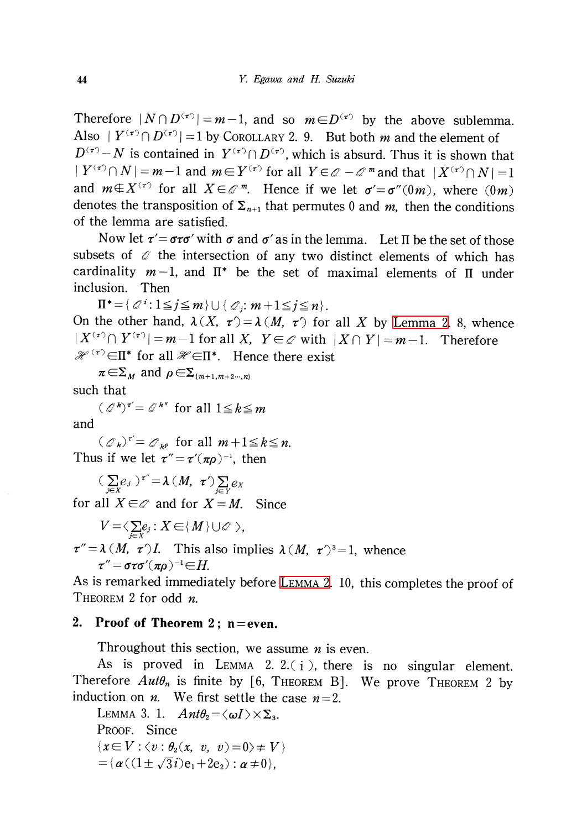Therefore  $|N\cap D^{(\tau)}|=m-1$ , and so  $m\in D^{(\tau)}$  by the above sublemma. Also  $|Y^{(\tau)} \cap D^{(\tau)}|=1$  by COROLLARY 2. 9. But both m and the element of  $D^{(\tau)}-N$  is contained in  $Y^{(\tau)}\cap D^{(\tau)}$ , which is absurd. Thus it is shown that  $|Y^{(\tau)}\cap N|=m-1$  and  $m\in Y^{(\tau)}$  for all  $Y\in \mathcal{O}-\mathcal{O}^{m}$  and that  $|X^{(\tau)}\cap N|=1$ and  $m\in X^{(\tau')}$  for all  $X\in \mathcal{Q}^{m}$ . Hence if we let  $\sigma'=\sigma^{r}(0m)$ , where  $(0m)$ denotes the transposition of  $\Sigma_{n+1}$  that permutes 0 and m, then the conditions of the lemma are satisfied.

Now let  $\tau'=\sigma\tau\sigma'$  with  $\sigma$  and  $\sigma'$  as in the lemma. Let II be the set of those subsets of  $\mathscr{Q}$  the intersection of any two distinct elements of which has cardinality  $m-1$ , and  $\Pi^{*}$  be the set of maximal elements of  $\Pi$  under inclusion. Then

 $\Pi^{*}=\{\mathscr{Q}^{i} : 1\leq j\leq m\}\cup\{\mathscr{Q}_{j}:m+1\leq j\leq n\}$ . On the other hand,  $\lambda(X, \tau') = \lambda(M, \tau')$  for all X by [Lemma](#page-2-0) 2. 8, whence  $|X^{(\tau)} \cap Y^{(\tau')}|=m-1$  for all X,  $Y\in \mathcal{Q}$  with  $|X\cap Y|=m-1$ . Therefore  $\mathscr{H}^{(\tau)}\in\Pi^{*}$  for all  $\mathscr{H}\in\Pi^{*}$ . Hence there exist

 $\pi\!\in\!\Sigma_{M}$  and  $\rho\!\in\!\Sigma_{\{m+1,m+2\cdots,n\}}$ 

such that

 $(\mathbb{Q}^{\mathbf{k}})^{\tau'}=\mathbb{Q}^{\mathbf{k}^{\pi}}$  for all  $1\leq k\leq m$ and

 $(\mathcal{O}_{k})^{\tau'}=\mathcal{O}_{k^{p}}$  for all  $m+1\leq k\leq n$ . Thus if we let  $\tau''=\tau'(\pi\rho)^{-1}$ , then

 $(\sum_{j\in X}e_{j})^{\tau''}=\lambda(M, \tau')\sum_{j\in Y}e_{X}$ 

for all  $X\in \mathcal{Q}$  and for  $X=M$ . Since

 $V = \langle \sum_{i \in X}e_{j} : X \in \{M\} \cup \mathscr{O} \rangle,$ 

 $\tau''=\lambda(M, \tau')I$ . This also implies  $\lambda(M, \tau')^{3}=1$ , whence  $\tau''\!=\!\sigma\tau\sigma'(\pi\!\rho)^{-1}\!\!\in\!\!H$ .

As is remarked immediately before [Lemma](#page-2-0) 2. 10, this completes the proof of THEOREM 2 for odd n.

### 2. Proof of Theorem 2; n=even.

Throughout this section, we assume  $n$  is even.

As is proved in LEMMA 2. 2. $(i)$ , there is no singular element. Therefore  $Aut\theta_{n}$  is finite by [6, THEOREM B]. We prove THEOREM 2 by induction on *n*. We first settle the case  $n=2$ .

<span id="page-5-0"></span>Lemma 3. 1.  $Ant\theta_{2}=\langle\omega I\rangle\times\Sigma_{3}$ . PROOF. Since  $\{x\in V : \langle v:\theta_{2}(x, v, v)=0\rangle\neq V\}$  $=\{\alpha((1\pm\sqrt{3}i)e_{1}+2e_{2}) : \alpha\neq 0\},\}$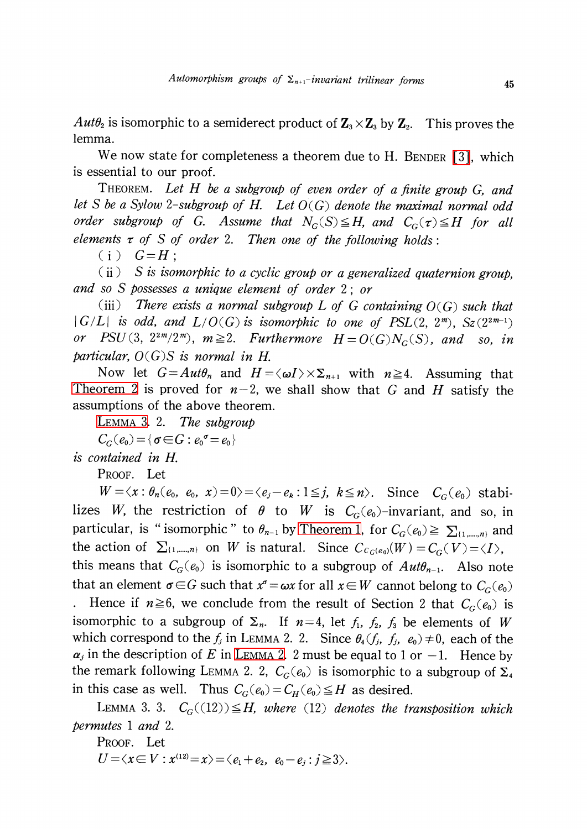$Aut\theta_{2}$  is isomorphic to a semiderect product of  $\textbf{Z}_{3}\times \textbf{Z}_{3}$  by  $\textbf{Z}_{2}.$  This proves the lemma.

We now state for completeness a theorem due to H. BENDER [\[3\],](#page-8-0) which is essential to our proof.

THEOREM. Let H be a subgroup of even order of a finite group G, and let S be a Sylow 2-subgroup of H. Let  $O(G)$  denote the maximal normal odd order subgroup of G. Assume that  $N_{G}(S) \leq H$ , and  $C_{G}(\tau) \leq H$  for all elements  $\tau$  of S of order 2. Then one of the following holds:

 $(i)$   $G=H$ :

 $(iii)$  S is isomorphic to a cyclic group or a generalized quaternion group, and so S possesses a unique element of order 2; or

(iii) There exists a normal subgroup L of G containing  $O(G)$  such that  $|G/L|$  is odd, and  $L/O(G)$  is isomorphic to one of PSL(2, 2<sup>m</sup>), Sz(2<sup>2m-1</sup>) or PSU(3,  $2^{2m}/2^{m}$ ),  $m \geq 2$ . Furthermore  $H=O(G)N_{G}(S)$ , and so, in particular,  $O(G)S$  is normal in H.

Now let  $G=Aut\theta_{n}$  and  $H=\langle\omega I\rangle\times\Sigma_{n+1}$  with  $n\geq4$ . Assuming that [Theorem](#page-0-0) 2 is proved for  $n-2$ , we shall show that G and H satisfy the assumptions of the above theorem.

LEMMA 3. 2. The subgroup

 $C_{G}(e_{0})=\{\sigma{\in}G:e_{0}^{\sigma}=e_{0}\}$ 

is contained in H.

PROOF. Let

 $W=\langle x:\theta_{n}(e_{0},\ e_{0},\ x)=0\rangle=\langle e_{j}-e_{k} : 1\leq j,\ k\leq n\rangle$ . Since  $C_{G}(e_{0})$  stabilizes W, the restriction of  $\theta$  to W is  $C_{G}(e_{0})$ -invariant, and so, in particular, is "isomorphic " to  $\theta_{n-1}$  by [Theorem](#page-0-1) 1, for  $C_{G}(e_{0})\geq\sum_{\{1,\ldots,n\}}$  and the action of  $\Sigma_{\{1,\ldots,n\}}$  on W is natural. Since  $C_{C_{G}(e_{0})}(W)=C_{G}(V)=\langle I\rangle ,$ this means that  $C_{G}(e_{0})$  is isomorphic to a subgroup of  $Aut\theta_{n-1}$ . Also note

that an element  $\sigma\in G$  such that  $x^{\sigma}=\omega x$  for all  $x\in W$  cannot belong to  $C_{G}(e_{0})$ 

Hence if  $n \geq 6$ , we conclude from the result of Section 2 that  $C_{G}(e_{0})$  is isomorphic to a subgroup of  $\Sigma_{n}$ . If  $n=4$ , let  $f_{1}$ ,  $f_{2}$ ,  $f_{3}$  be elements of W which correspond to the  $f_{j}$  in LEMMA 2. 2. Since  $\theta_{4}(f_{j}, f_{j}, e_{0})\neq 0$ , each of the  $\alpha_{j}$  in the description of E in LEMMA 2. 2 must be equal to 1 or -1. Hence by the remark following LEMMA 2. 2,  $C_{G}(e_{0})$  is isomorphic to a subgroup of  $\Sigma_{4}$ in this case as well. Thus  $C_{G}(e_{0})=C_{H}(e_{0})\leq H$  as desired.

LEMMA 3. 3.  $C_{G}((12))\leq H$ , where (12) denotes the transposition which permutes <sup>1</sup> and 2.

PROOF. Let  
\n
$$
U = \langle x \in V : x^{(12)} = x \rangle = \langle e_1 + e_2, e_0 - e_j : j \ge 3 \rangle.
$$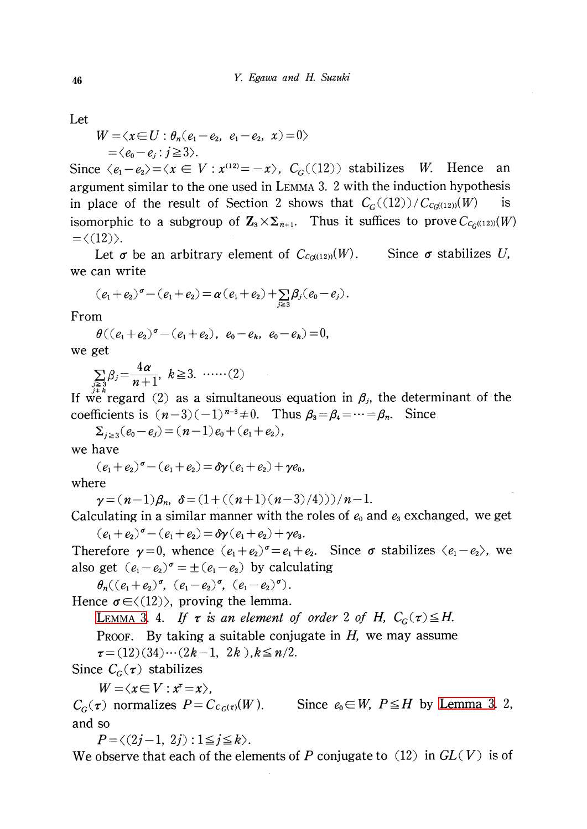Let

$$
W = \langle x \in U : \theta_n(e_1 - e_2, e_1 - e_2, x) = 0 \rangle
$$
  
=  $\langle e_0 - e_j : j \ge 3 \rangle$ .

Since  $\langle e_{1}-e_{2}\rangle=\langle x\in V:x^{(12)}=-x\rangle, C_{G}((12))$  stabilizes W. Hence an argument similar to the one used in LEMMA 3. <sup>2</sup> with the induction hypothesis in place of the result of Section 2 shows that  $C_{G}((12))/C_{C_{G}((12))}(W)$  is isomorphic to a subgroup of  $\mathbf{Z}_3\times\mathbf{Z}_{n+1}$ . Thus it suffices to prove  $C_{C_G((12))}(W)$  $=\langle \langle 12 \rangle \rangle$ .

Let  $\sigma$  be an arbitrary element of  $C_{c_{G^{(\{12\})}}}(W)$ . Since  $\sigma$  stabilizes U, we can write

$$
(e_1+e_2)^{\sigma}-(e_1+e_2)=\pmb{\alpha}\left(e_1+e_2\right)+\sum_{j\geq 3}\pmb{\beta}_j(e_0-e_j).
$$

From

 $\theta((e_{1}+e_{2})^{\sigma}-(e_{1}+e_{2}), e_{0}-e_{k}, e_{0}-e_{k})=0 ,$ we get

 $\sum \beta_{j}=\frac{4\alpha}{n+1} ,\;k\geq 3 . \;\ldots \ldots (2)$ 

If we regard (2) as a simultaneous equation in  $\beta_{j}$ , the determinant of the coefficients is  $(n-3)(-1)^{n-3}\neq 0$ . Thus  $\beta_{3}=\beta_{4}=\cdots=\beta_{n}$ . Since

 $\Sigma_{j\geq 3}(e_{0}-e_{j})=(n-1)e_{0}+(e_{1}+e_{2})$  ,

we have

 $(e_{1}+e_{2})^{\sigma}-(e_{1}+e_{2})=\delta\gamma(e_{1}+e_{2})+\gamma e_{0} ,$ 

where

$$
\gamma = (n-1)\beta_n, \ \ \delta = (1 + ((n+1)(n-3)/4)))/n-1.
$$

Calculating in a similar manner with the roles of  $e_{0}$  and  $e_{3}$  exchanged, we get  $(e_{1}+e_{2})^{\sigma}-(e_{1}+e_{2})=\delta\gamma(e_{1}+e_{2})+\gamma e_{3}.$ 

Therefore  $\gamma=0$ , whence  $(e_{1}+e_{2})^{\sigma}=e_{1}+e_{2}$ . Since  $\sigma$  stabilizes  $\langle e_{1}-e_{2}\rangle$ , we also get  $(e_{1}-e_{2})^{\sigma}=\pm(e_{1}-e_{2})$  by calculating

 $\theta_{n}((e_{1}+e_{2})^{\sigma}, (e_{1}-e_{2})^{\sigma}, (e_{1}-e_{2})^{\sigma}).$ 

Hence  $\sigma \in \langle (12) \rangle$ , proving the lemma.

LEMMA 3. 4. If  $\tau$  is an element of order 2 of H,  $C_{G}(\tau)\leq H$ .

PROOF. By taking a suitable conjugate in  $H$ , we may assume

 $\tau=(12)(34)\cdots(2k-1,2k)$  ,  $k\leq n/2$  .

Since  $C_{G}(\tau)$  stabilizes

 $W\!=\!<\!\!x\!\in V : x^{\!\tau}\!=\!x\!\!\succ$  ,

 $C_{G}(\tau)$  normalizes  $P=C_{C_{G}(\tau)}(W)$ . Since  $e_{0}\in W, P\leq H$  by [Lemma](#page-5-0) 3. 2, and so

 $P=\langle(2i-1,2i) : 1\leq i\leq k\rangle$ .

We observe that each of the elements of P conjugate to  $(12)$  in  $GL(V)$  is of